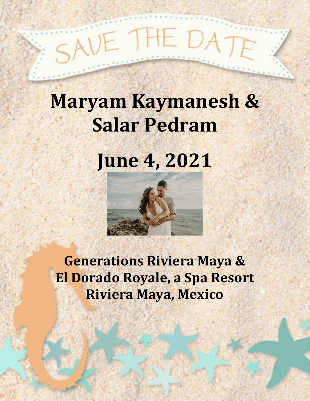# $H = D_A$

# **Maryam Kaymanesh & Salar Pedram**

**June 4, 2021**



**Generations Riviera Maya & El Dorado Royale, a Spa Resort Riviera Maya, Mexico**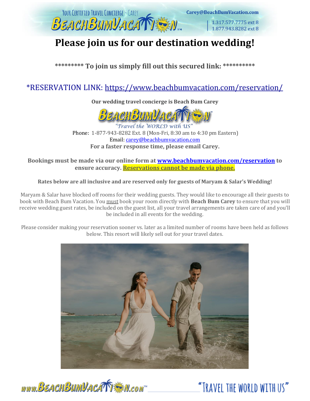

# **Please join us for our destination wedding!**

**\*\*\*\*\*\*\*\*\* To join us simply fill out this secured link: \*\*\*\*\*\*\*\*\*\***

# \*RESERVATION LINK:<https://www.beachbumvacation.com/reservation/>

**Our wedding travel concierge is Beach Bum Carey**



Travel the WORLD with US Phone: 1-877-943-8282 Ext. 8 (Mon-Fri, 8:30 am to 4:30 pm Eastern) Email: [carey@beachbumvacation.com](mailto:carey@beachbumvacation.com) **For a faster response time, please email Carey.** 

**Bookings must be made via our online form at [www.beachbumvacation.com/reservation](http://www.beachbumvacation.com/reservation) to ensure accuracy. Reservations cannot be made via phone.**

#### **Rates below are all inclusive and are reserved only for guests of Maryam & Salar's Wedding!**

Maryam & Salar have blocked off rooms for their wedding guests. They would like to encourage all their guests to book with Beach Bum Vacation. You must book your room directly with **Beach Bum Carey** to ensure that you will receive wedding guest rates, be included on the guest list, all your travel arrangements are taken care of and you'll be included in all events for the wedding.

Please consider making your reservation sooner vs. later as a limited number of rooms have been held as follows below. This resort will likely sell out for your travel dates.



www.BEACHBUMVACATT SM.com

"TRAVFI THE WORLD WITH US"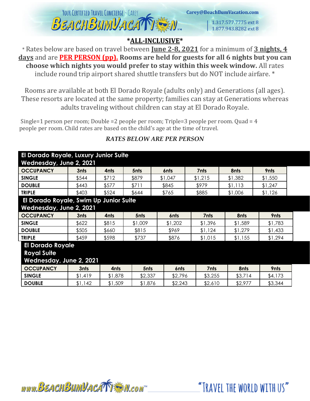

Carey@BeachBumVacation.com

1.317.577.7775 ext 8 1.877.943.8282 ext 8

"TRAVEL THE WORLD WITH US"

## **\*ALL-INCLUSIVE\***

\* Rates below are based on travel between **June 2-8, 2021** for a minimum of **3 nights, 4 days** and are **PER PERSON (pp). Rooms are held for guests for all 6 nights but you can choose which nights you would prefer to stay within this week window.** All rates include round trip airport shared shuttle transfers but do NOT include airfare. \*

Rooms are available at both El Dorado Royale (adults only) and Generations (all ages). These resorts are located at the same property; families can stay at Generations whereas adults traveling without children can stay at El Dorado Royale.

Single=1 person per room; Double =2 people per room; Triple=3 people per room. Quad = 4 people per room. Child rates are based on the child's age at the time of travel.

| El Dorado Royale, Luxury Junior Suite  |         |                  |                  |                    |                    |                    |  |
|----------------------------------------|---------|------------------|------------------|--------------------|--------------------|--------------------|--|
| Wednesday, June 2, 2021                |         |                  |                  |                    |                    |                    |  |
| 3nts                                   | 4nts    | 5 <sub>nts</sub> | 6 <sub>nts</sub> | 7nts               | 8nts               | 9nts               |  |
| \$544                                  | \$712   | \$879            | \$1,047          | \$1,215            | \$1,382            | \$1,550            |  |
| \$443                                  | \$577   | \$711            | \$845            | \$979              | \$1,113            | \$1,247            |  |
| \$403                                  | \$524   | \$644            | \$765            | \$885              | \$1,006            | \$1,126            |  |
| El Dorado Royale, Swim Up Junior Suite |         |                  |                  |                    |                    |                    |  |
| Wednesday, June 2, 2021                |         |                  |                  |                    |                    |                    |  |
| 3nts                                   | 4nts    | 5nts             | 6nts             | 7nts               | 8nts               | 9nts               |  |
| \$622                                  | \$815   | \$1,009          | \$1,202          | \$1,396            | \$1,589            | \$1,783            |  |
| \$505                                  | \$660   | \$815            | \$969            | \$1,124            | \$1,279            | \$1,433            |  |
| \$459                                  | \$598   | \$737            | \$876            | \$1,015            | \$1,155            | \$1,294            |  |
| <b>El Dorado Royale</b>                |         |                  |                  |                    |                    |                    |  |
|                                        |         |                  |                  |                    |                    |                    |  |
| Wednesday, June 2, 2021                |         |                  |                  |                    |                    |                    |  |
| 3nts                                   | 4nts    | 5nts             | 6nts             | 7nts               | 8nts               | 9nts               |  |
| \$1,419                                | \$1,878 |                  |                  |                    | \$3,714            | \$4,173            |  |
| \$1,142                                | \$1,509 |                  |                  |                    | \$2,977            | \$3,344            |  |
|                                        |         |                  |                  | \$2,337<br>\$1,876 | \$2,796<br>\$2,243 | \$3,255<br>\$2,610 |  |

# *RATES BELOW ARE PER PERSON*

www.BEACHBUMVACATTEN.com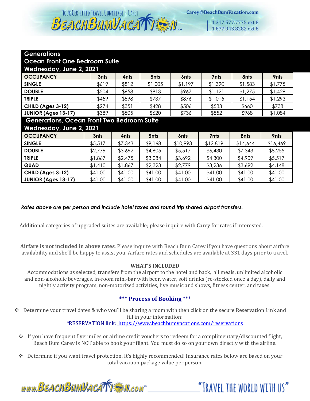YOUR CERTIFIED TRAVEL CONCIERGE - CAREY BEACHBUMVACA

1.317.577.7775 ext 8 1.877.943.8282 ext 8

#### **Generations**

**Ocean Front One Bedroom Suite**

| <b>OCCUPANCY</b>           | 3nts  | 4nts  | 5nts    | 6nts    | 7nts    | 8nts    | <b>9nts</b> |
|----------------------------|-------|-------|---------|---------|---------|---------|-------------|
| <b>SINGLE</b>              | \$619 | \$812 | \$1,005 | \$1,197 | \$1,390 | \$1,583 | \$1,775     |
| <b>DOUBLE</b>              | \$504 | \$658 | \$813   | \$967   | \$1,121 | \$1,275 | \$1,429     |
| <b>TRIPLE</b>              | \$459 | \$598 | \$737   | \$876   | \$1,015 | \$1,154 | \$1,293     |
| <b>CHILD (Ages 3-12)</b>   | \$274 | \$351 | \$428   | \$506   | \$583   | \$660   | \$738       |
| <b>JUNIOR (Ages 13-17)</b> | \$389 | \$505 | \$620   | \$736   | \$852   | \$968   | \$1,084     |

#### **Generations, Ocean Front Two Bedroom Suite**

**Wednesday, June 2, 2021**

| <b>CCCUPANCY</b>           | 3nts    | 4nts    | 5 <sub>nts</sub> | 6nts     | 7nts     | 8nts     | 9nts     |
|----------------------------|---------|---------|------------------|----------|----------|----------|----------|
| <b>SINGLE</b>              | \$5,517 | \$7,343 | \$9,168          | \$10,993 | \$12,819 | \$14,644 | \$16,469 |
| <b>DOUBLE</b>              | \$2,779 | \$3,692 | \$4,605          | \$5,517  | \$6,430  | \$7,343  | \$8,255  |
| <b>TRIPLE</b>              | \$1,867 | \$2,475 | \$3,084          | \$3,692  | \$4,300  | \$4,909  | \$5,517  |
| QUAD                       | \$1,410 | \$1,867 | \$2,323          | \$2,779  | \$3,236  | \$3,692  | \$4,148  |
| CHILD (Ages 3-12)          | \$41.00 | \$41.00 | \$41.00          | \$41.00  | \$41.00  | \$41.00  | \$41.00  |
| <b>JUNIOR (Ages 13-17)</b> | \$41.00 | \$41.00 | \$41.00          | \$41.00  | \$41.00  | \$41.00  | \$41.00  |

*Rates above are per person and include hotel taxes and round trip shared airport transfers.* 

Additional categories of upgraded suites are available; please inquire with Carey for rates if interested.

**Airfare is not included in above rates**. Please inquire with Beach Bum Carey if you have questions about airfare availability and she'll be happy to assist you. Airfare rates and schedules are available at 331 days prior to travel.

#### **WHAT'S INCLUDED**

Accommodations as selected, transfers from the airport to the hotel and back, all meals, unlimited alcoholic and non-alcoholic beverages, in-room mini-bar with beer, water, soft drinks (re-stocked once a day), daily and nightly activity program, non-motorized activities, live music and shows, fitness center, and taxes.

#### **\*\*\* Process of Booking** \*\*\*

❖ Determine your travel dates & who you'll be sharing a room with then click on the secure Reservation Link and fill in your information:

\*RESERVATION link: <https://www.beachbumvacations.com/reservations>

- ❖ If you have frequent flyer miles or airline credit vouchers to redeem for a complimentary/discounted flight, Beach Bum Carey is NOT able to book your flight. You must do so on your own directly with the airline.
- ❖ Determine if you want travel protection. It's highly recommended! Insurance rates below are based on your total vacation package value per person.

www.BEACHBUMVACATT \* N.com

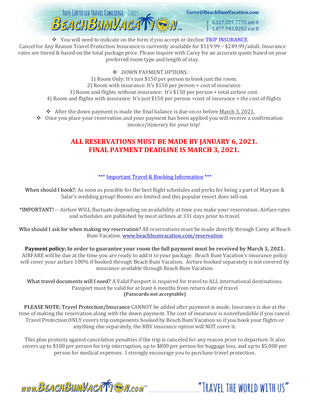

Carey@BeachBumVacation.com

1.317.577.7775 ext 8 1.877.943.8282 ext 8

"TRAVFI THE WORLD WITH US"

❖ You will need to indicate on the form if you accept or decline TRIP INSURANCE. Cancel for Any Reason Travel Protection Insurance is currently available for \$119.99 – \$249.99/adult. Insurance rates are tiered & based on the total package price. Please inquire with Carey for an accurate quote based on your preferred room type and length of stay.

❖ DOWN PAYMENT OPTIONS:

1) Room Only: It's just \$150 per person to book just the room. 2) Room with insurance: It's \$150 per person + cost of insurance 3) Room and flights without insurance: It's \$150 per person + total airfare cost. 4) Room and flights with insurance: It's just \$150 per person +cost of insurance + the cost of flights

 $\div$  After the down payment is made the final balance is due on or before March 3, 2021.

❖ Once you place your reservation and your payment has been applied you will receive a confirmation invoice/itinerary for your trip!

# **ALL RESERVATIONS MUST BE MADE BY JANUARY 6, 2021. FINAL PAYMENT DEADLINE IS MARCH 3, 2021.**

#### \*\*\* Important Travel & Booking Information \*\*\*

When should I book?: As soon as possible for the best flight schedules and perks for being a part of Maryam & Salar's wedding group! Rooms are limited and this popular resort does sell out.

\*IMPORTANT! -- Airfare WILL fluctuate depending on availability at time you make your reservation. Airfare rates and schedules are published by most airlines at 331 days prior to travel.

Who should I ask for when making my reservation? All reservations must be made directly through Carey at Beach Bum Vacation. [www.beachbumvacation.com/reservation](http://www.beachbumvacation.com/reservation)

**Payment policy: In order to guarantee your room the full payment must be received by March 3, 2021.** AIRFARE will be due at the time you are ready to add it to your package. Beach Bum Vacation's insurance policy will cover your airfare 100% if booked through Beach Bum Vacation. Airfare booked separately is not covered by insurance available through Beach Bum Vacation.

What travel documents will I need? A Valid Passport is required for travel to ALL international destinations. Passport must be valid for at least 6 months from return date of travel **(Passcards not acceptable)**

**PLEASE NOTE:** Travel Protection/Insurance CANNOT be added after payment is made. Insurance is due at the time of making the reservation along with the down payment. The cost of insurance is nonrefundable if you cancel. Travel Protection ONLY covers trip components booked by Beach Bum Vacation so if you book your flights or anything else separately, the BBV insurance option will NOT cover it.

This plan protects against cancelation penalties if the trip is canceled for any reason prior to departure. It also covers up to \$100 per person for trip interruption, up to \$800 per person for baggage loss, and up to \$5,000 per person for medical expenses. I strongly encourage you to purchase travel protection.

www.BEACHBUMVACATT A.com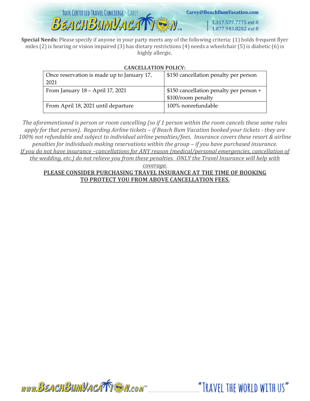

www.BEACHBUMVACATTEM.com

Carey@BeachBumVacation.com

1.317.577.7775 ext 8 1.877.943.8282 ext 8

"TRAVEL THE WORLD WITH US"

**Special Needs:** Please specify if anyone in your party meets any of the following criteria: (1) holds frequent flyer miles (2) is hearing or vision impaired (3) has dietary restrictions (4) needs a wheelchair (5) is diabetic (6) is highly allergic.

#### **CANCELLATION POLICY:**

| Once reservation is made up to January 17, | \$150 cancellation penalty per person   |  |  |
|--------------------------------------------|-----------------------------------------|--|--|
| 2021                                       |                                         |  |  |
| From January $18 -$ April 17, 2021         | \$150 cancellation penalty per person + |  |  |
|                                            | \$100/room penalty                      |  |  |
| From April 18, 2021 until departure        | 100% nonrefundable                      |  |  |

*The aforementioned is person or room cancelling (so if 1 person within the room cancels these same rules apply for that person). Regarding Airline tickets – if Beach Bum Vacation booked your tickets - they are 100% not refundable and subject to individual airline penalties/fees. Insurance covers these resort & airline penalties for individuals making reservations within the group - if you have purchased insurance. If you do not have insurance –cancellations for ANY reason (medical/personal emergencies, cancellation of the wedding, etc.) do not relieve you from these penalties. ONLY the Travel Insurance will help with* 

*coverage.*

#### **PLEASE CONSIDER PURCHASING TRAVEL INSURANCE AT THE TIME OF BOOKING TO PROTECT YOU FROM ABOVE CANCELLATION FEES.**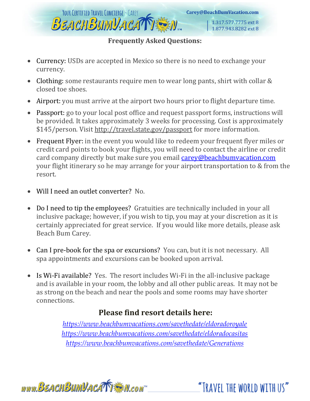

# **Frequently Asked Questions:**

- Currency: USDs are accepted in Mexico so there is no need to exchange your currency.
- Clothing: some restaurants require men to wear long pants, shirt with collar & closed toe shoes.
- Airport: you must arrive at the airport two hours prior to flight departure time.
- Passport: go to your local post office and request passport forms, instructions will be provided. It takes approximately 3 weeks for processing. Cost is approximately \$145/person. Visit<http://travel.state.gov/passport> for more information.
- Frequent Flyer: in the event you would like to redeem your frequent flyer miles or credit card points to book your flights, you will need to contact the airline or credit card company directly but make sure you email [carey@beachbumvacation.com](mailto:carey@beachbumvacation.com) your flight itinerary so he may arrange for your airport transportation to & from the resort.
- Will I need an outlet converter? No.
- Do I need to tip the employees? Gratuities are technically included in your all inclusive package; however, if you wish to tip, you may at your discretion as it is certainly appreciated for great service. If you would like more details, please ask Beach Bum Carey.
- Can I pre-book for the spa or excursions? You can, but it is not necessary. All spa appointments and excursions can be booked upon arrival.
- Is Wi-Fi available? Yes. The resort includes Wi-Fi in the all-inclusive package and is available in your room, the lobby and all other public areas. It may not be as strong on the beach and near the pools and some rooms may have shorter connections.

# **Please find resort details here:**

*<https://www.beachbumvacations.com/savethedate/eldoradoroyale> <https://www.beachbumvacations.com/savethedate/eldoradocasitas> <https://www.beachbumvacations.com/savethedate/Generations>*



"TRAVEL THE WORLD WITH US"